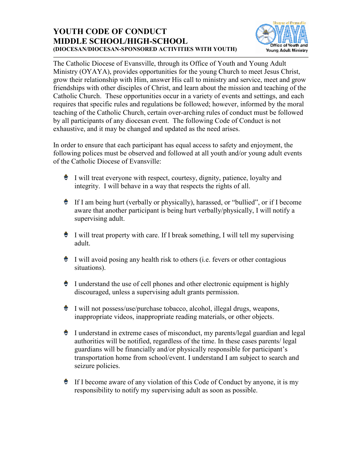## **YOUTH CODE OF CONDUCT MIDDLE SCHOOL/HIGH-SCHOOL (DIOCESAN/DIOCESAN-SPONSORED ACTIVITIES WITH YOUTH)**



The Catholic Diocese of Evansville, through its Office of Youth and Young Adult Ministry (OYAYA), provides opportunities for the young Church to meet Jesus Christ, grow their relationship with Him, answer His call to ministry and service, meet and grow friendships with other disciples of Christ, and learn about the mission and teaching of the Catholic Church. These opportunities occur in a variety of events and settings, and each requires that specific rules and regulations be followed; however, informed by the moral teaching of the Catholic Church, certain over-arching rules of conduct must be followed by all participants of any diocesan event. The following Code of Conduct is not exhaustive, and it may be changed and updated as the need arises.

In order to ensure that each participant has equal access to safety and enjoyment, the following polices must be observed and followed at all youth and/or young adult events of the Catholic Diocese of Evansville:

- $\bullet$  I will treat everyone with respect, courtesy, dignity, patience, loyalty and integrity. I will behave in a way that respects the rights of all.
- $\bullet$  If I am being hurt (verbally or physically), harassed, or "bullied", or if I become aware that another participant is being hurt verbally/physically, I will notify a supervising adult.
- $\bullet$  I will treat property with care. If I break something, I will tell my supervising adult.
- $\bullet$  I will avoid posing any health risk to others (i.e. fevers or other contagious situations).
- $\bullet$  I understand the use of cell phones and other electronic equipment is highly discouraged, unless a supervising adult grants permission.
- $\bullet$  I will not possess/use/purchase tobacco, alcohol, illegal drugs, weapons, inappropriate videos, inappropriate reading materials, or other objects.
- $\bullet$  I understand in extreme cases of misconduct, my parents/legal guardian and legal authorities will be notified, regardless of the time. In these cases parents/ legal guardians will be financially and/or physically responsible for participant's transportation home from school/event. I understand I am subject to search and seizure policies.
- $\bullet$  If I become aware of any violation of this Code of Conduct by anyone, it is my responsibility to notify my supervising adult as soon as possible.